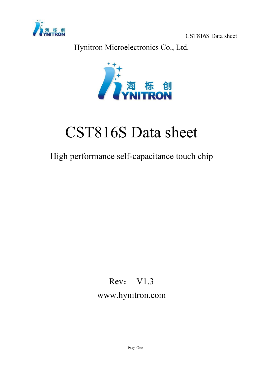

Hynitron Microelectronics Co., Ltd.



# CST816S Datasheet

# High performance self-capacitance touch chip

# Rev: V1.3 www.hynitron.com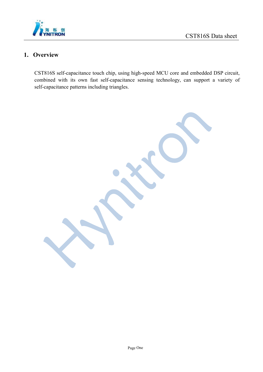

#### **1. Overview**

CST816S self-capacitance touch chip, using high-speed MCU core and embedded DSP circuit, combined with its own fast self-capacitance sensing technology, can support a variety of self-capacitance patterns including triangles.

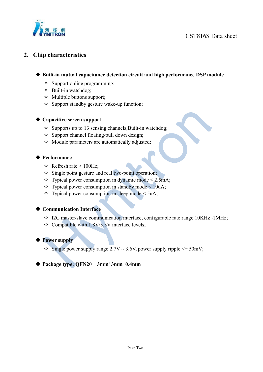

#### **2. Chip characteristics**

- **Built-in mutual capacitance detection circuit and high performance DSP module**
	- $\Diamond$  Support online programming;
	- $\Diamond$  Built-in watchdog;
	- $\Diamond$  Multiple buttons support;
	- $\Diamond$  Support standby gesture wake-up function:

#### **Capacitive screen support**

- $\Diamond$  Supports up to 13 sensing channels; Built-in watchdog;
- $\Diamond$  Support channel floating/pull down design;
- $\Diamond$  Module parameters are automatically adjusted;

#### ◆ Performance

- $\triangle$  Refresh rate > 100Hz;
- $\Diamond$  Single point gesture and real two-point operation;
- $\Diamond$  Typical power consumption in dynamic mode < 2.5mA;
- $\Diamond$  Typical power consumption in standby mode < 10uA;
- $\Diamond$  Typical power consumption in sleep mode < 5uA;

#### **Communication Interface**

- $\div$  I2C master/slave communication interface, configurable rate range 10KHz $\sim$ 1MHz;
- $\Diamond$  Compatible with 1.8V/3.3V interface levels;

#### **Power supply**

 $\Diamond$  Single power supply range 2.7V ~ 3.6V, power supply ripple  $\leq$  50mV;

#### **Package type: QFN20 3mm\*3mm\*0.4mm**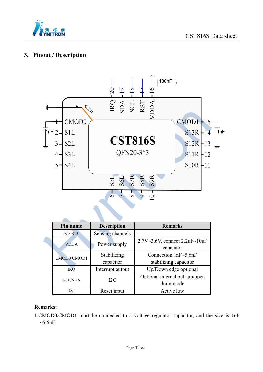

#### **3. Pinout / Description**



| Pin name       | <b>Description</b> | <b>Remarks</b>                     |
|----------------|--------------------|------------------------------------|
| $S1 - S13$     | Sensing channels   |                                    |
| <b>VDDA</b>    | Power supply       | $2.7V~3.6V$ , connect $2.2uF~10uF$ |
|                |                    | capacitor                          |
| CMOD0/CMOD1    | Stabilizing        | Connection $1nF~5.6nF$             |
|                | capacitor          | stabilizing capacitor              |
| <b>IRQ</b>     | Interrupt output   | Up/Down edge optional              |
| <b>SCL/SDA</b> | I2C                | Optional internal pull-up/open     |
|                |                    | drain mode                         |
| <b>RST</b>     | Reset input        | Active low                         |

#### **Remarks:**

1.CMOD0/CMOD1 must be connected to a voltage regulator capacitor, and the size is 1nF  $\sim$ 5.6nF.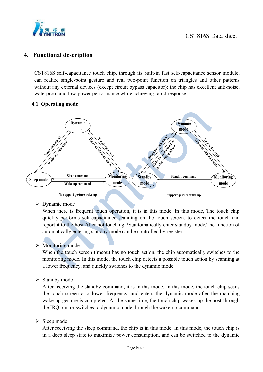

#### **4. Functional description**

CST816S self-capacitance touch chip, through its built-in fast self-capacitance sensor module, can realize single-point gesture and real two-point function on triangles and other patterns without any external devices (except circuit bypass capacitor); the chip has excellent anti-noise, waterproof and low-power performance while achieving rapid response.

#### **4.1 Operating mode**



> Dynamic mode

When there is frequent touch operation, it is in this mode. In this mode, The touch chip quickly performs self-capacitance scanning on the touch screen, to detect the touch and report it to the host.After not touching 2S,automatically enter standby mode.The function of automatically entering standby mode can be controlled by register.

 $\triangleright$  Monitoring mode

When the touch screen timeout has no touch action, the chip automatically switches to the monitoring mode. In this mode, the touch chip detects a possible touch action by scanning at a lower frequency, and quickly switches to the dynamic mode.

 $\triangleright$  Standby mode

After receiving the standby command, it is in this mode. In this mode, the touch chip scans the touch screen at a lower frequency, and enters the dynamic mode after the matching wake-up gesture is completed. At the same time, the touch chip wakes up the host through the IRQ pin, or switches to dynamic mode through the wake-up command.

 $\triangleright$  Sleep mode

After receiving the sleep command, the chip is in this mode. In this mode, the touch chip is in a deep sleep state to maximize power consumption, and can be switched to the dynamic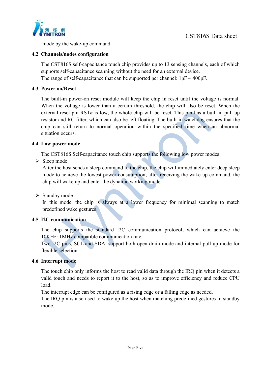

mode by the wake-up command.

#### **4.2 Channels/nodes configuration**

The CST816S self-capacitance touch chip provides up to 13 sensing channels, each of which supports self-capacitance scanning without the need for an external device. The range of self-capacitance that can be supported per channel:  $1pF \sim 400pF$ .

#### **4.3 Power on/Reset**

The built-in power-on reset module will keep the chip in reset until the voltage is normal. When the voltage is lower than a certain threshold, the chip will also be reset. When the external reset pin  $RSTn$  is low, the whole chip will be reset. This pin has a built-in pull-up resistor and RC filter, which can also be left floating. The built-in watchdog ensures that the chip can still return to normal operation within the specified time when an abnormal situation occurs.

#### **4.4 Low power mode**

The CST816S Self-capacitance touch chip supports the following low power modes:

 $\triangleright$  Sleep mode

After the host sends a sleep command to the chip, the chip will immediately enter deep sleep mode to achieve the lowest power consumption; after receiving the wake-up command, the chip will wake up and enter the dynamic working mode.

#### $\triangleright$  Standby mode

In this mode, the chip is always at a lower frequency for minimal scanning to match predefined wake gestures.

#### **4.5 I2C communication**

The chip supports the standard I2C communication protocol, which can achieve the 10KHz~1MHz compatible communication rate.

Two I2C pins, SCL and SDA, support both open-drain mode and internal pull-up mode for flexible selection.

#### **4.6 Interrupt mode**

The touch chip only informs the host to read valid data through the IRQ pin when it detects a valid touch and needs to report it to the host, so as to improve efficiency and reduce CPU load.

The interrupt edge can be configured as a rising edge or a falling edge as needed.

The IRQ pin is also used to wake up the host when matching predefined gestures in standby mode.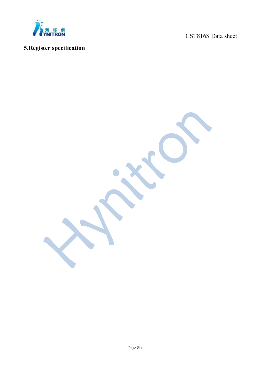

# **5.Register specification**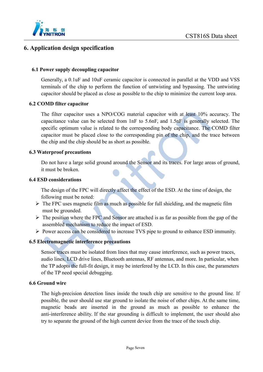

#### **6. Application design specification**

#### **6.1 Power supply decoupling capacitor**

Generally, a 0.1uF and 10uF ceramic capacitor is connected in parallel at the VDD and VSS terminals of the chip to perform the functionof untwisting and bypassing. The untwisting capacitor should be placed as close as possible to the chip to minimize the current loop area.

#### **6.2 COMD filter capacitor**

The filter capacitor uses a NPO/COG material capacitor with at least 10% accuracy. The capacitance value can be selected from 1nF to 5.6nF, and 1.5nF is generally selected. The specific optimum value is related to the corresponding body capacitance. The COMD filter capacitor must be placed close to the corresponding pin of the chip, and the trace between the chip and the chip should be as short as possible.

#### **6.3 Waterproof precautions**

Do not have a large solid ground around the Sensor and its traces. For large areas of ground, it must be broken.

#### **6.4 ESD considerations**

The design of the FPC will directly affect the effect of the ESD. At the time of design, the following must be noted:

- $\triangleright$  The FPC uses magnetic film as much as possible for full shielding, and the magnetic film must be grounded.
- $\triangleright$  The position where the FPC and Sensor are attached is as far as possible from the gap of the assembled mechanism to reduce the impact of ESD.
- Power access can be considered to increase TVS pipe to ground to enhance ESD immunity.

#### **6.5 Electromagnetic interference precautions**

Sensor traces must be isolated from lines that may cause interference, such as power traces, audio lines, LCD drive lines, Bluetooth antennas, RF antennas, and more. In particular, when the TP adopts the full-fit design, it may be interfered by the LCD. In this case, the parameters of the TP need special debugging.

#### **6.6 Ground wire**

The high-precision detection lines inside the touch chip are sensitive to the ground line. If possible, the user should use star ground to isolate the noise of other chips. At the same time, magnetic beads are inserted in the ground as much as possible to enhance the anti-interference ability. If the star grounding is difficult to implement, the user should also try to separate the ground of the high current device from the trace of the touch chip.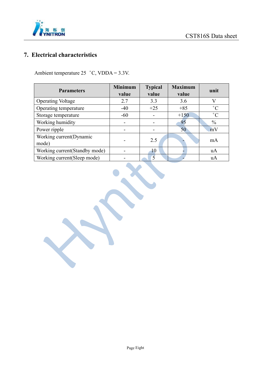

### **7. Electrical characteristics**

Ambient temperature 25︒C, VDDA = 3.3V.

| <b>Parameters</b>              | <b>Minimum</b> | <b>Typical</b>           | <b>Maximum</b> | unit          |  |
|--------------------------------|----------------|--------------------------|----------------|---------------|--|
|                                | value          | value                    | value          |               |  |
| <b>Operating Voltage</b>       | 2.7            | 3.3                      | 3.6            | V             |  |
| Operating temperature          | $-40$          | $+25$                    | $+85$          | $^{\circ}C$   |  |
| Storage temperature            | $-60$          |                          | $+150$         | $^{\circ}C$   |  |
| Working humidity               | -              |                          | 95             | $\frac{0}{0}$ |  |
| Power ripple                   |                |                          | 50             | mV            |  |
| Working current (Dynamic       |                | 2.5                      |                | mA            |  |
| mode)                          |                |                          |                |               |  |
| Working current (Standby mode) |                | 10                       |                | uA            |  |
| Working current (Sleep mode)   |                | $\overline{\mathcal{L}}$ |                | uA            |  |

X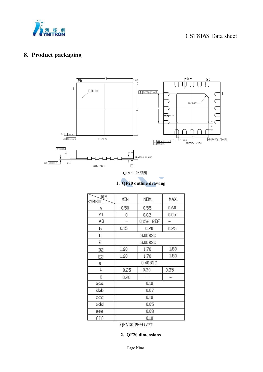



### **8. Product packaging**



**1. QF20 outline drawing**

| DIM<br>SYMBOL        | MIN.    | NOM.      | MAX. |  |  |  |
|----------------------|---------|-----------|------|--|--|--|
| А                    | 0.50    | 0.55      | 0.60 |  |  |  |
| A1                   | 0       | 0.02      | 0.05 |  |  |  |
| A3                   |         | 0.152 REF |      |  |  |  |
| p                    | 0.15    | 0.20      | 0.25 |  |  |  |
| D                    | 3,00BSC |           |      |  |  |  |
| E                    | 3.00BSC |           |      |  |  |  |
| D2                   | 1.60    | 1.70      | 1,80 |  |  |  |
| E <sub>2</sub>       | 1.60    | 1.70      | 1.80 |  |  |  |
| е                    | 0.40BSC |           |      |  |  |  |
| Е                    | 0,25    | 0.30      | 0,35 |  |  |  |
| K                    | 0.20    |           |      |  |  |  |
| $\alpha\alpha\alpha$ | 0.10    |           |      |  |  |  |
| bbb                  |         | 0.07      |      |  |  |  |
| CCC                  |         | 0,10      |      |  |  |  |
| ddd                  |         | 0.05      |      |  |  |  |
| eee                  | 0.08    |           |      |  |  |  |
| fff                  | 0,10    |           |      |  |  |  |

QFN20 外形尺寸

**2. QF20 dimensions**

Page Nine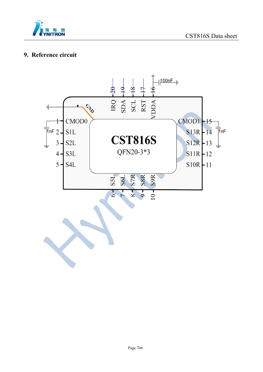

#### **9. Reference circuit**